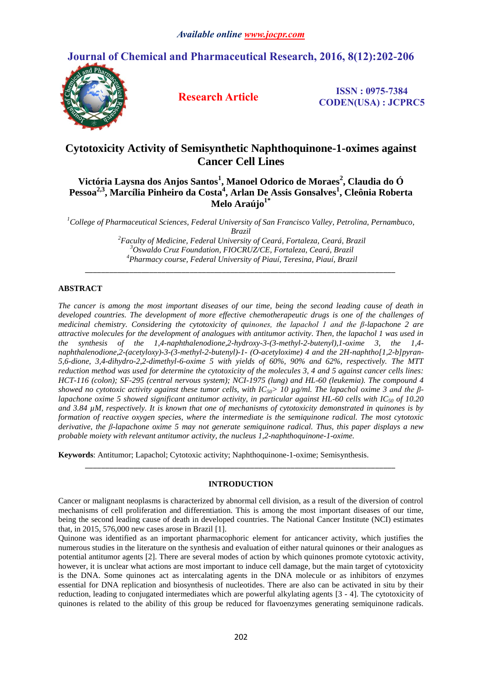# **Journal of Chemical and Pharmaceutical Research, 2016, 8(12):202-206**



**Research Article ISSN : 0975-7384 CODEN(USA) : JCPRC5**

## **Cytotoxicity Activity of Semisynthetic Naphthoquinone-1-oximes against Cancer Cell Lines**

**Victória Laysna dos Anjos Santos<sup>1</sup> , Manoel Odorico de Moraes<sup>2</sup> , Claudia do Ó Pessoa2,3, Marcília Pinheiro da Costa<sup>4</sup> , Arlan De Assis Gonsalves<sup>1</sup> , Cleônia Roberta Melo Araújo1\***

*<sup>1</sup>College of Pharmaceutical Sciences, Federal University of San Francisco Valley, Petrolina, Pernambuco, Brazil*

> *<sup>2</sup>Faculty of Medicine, Federal University of Ceará, Fortaleza, Ceará, Brazil <sup>3</sup>Oswaldo Cruz Foundation, FIOCRUZ/CE, Fortaleza, Ceará, Brazil <sup>4</sup>Pharmacy course, Federal University of Piauí, Teresina, Piauí, Brazil*

*\_\_\_\_\_\_\_\_\_\_\_\_\_\_\_\_\_\_\_\_\_\_\_\_\_\_\_\_\_\_\_\_\_\_\_\_\_\_\_\_\_\_\_\_\_\_\_\_\_\_\_\_\_\_\_\_\_\_\_\_\_\_\_\_\_\_\_\_\_\_\_\_\_\_\_\_\_*

## **ABSTRACT**

*The cancer is among the most important diseases of our time, being the second leading cause of death in developed countries. The development of more effective chemotherapeutic drugs is one of the challenges of medicinal chemistry. Considering the cytotoxicity of quinones, the lapachol 1 and the β-lapachone 2 are attractive molecules for the development of analogues with antitumor activity. Then, the lapachol 1 was used in the synthesis of the 1,4-naphthalenodione,2-hydroxy-3-(3-methyl-2-butenyl),1-oxime 3, the 1,4 naphthalenodione,2-(acetyloxy)-3-(3-methyl-2-butenyl)-1- (O-acetyloxime) 4 and the 2H-naphtho[1,2-b]pyran-5,6-dione, 3,4-dihydro-2,2-dimethyl-6-oxime 5 with yields of 60%, 90% and 62%, respectively. The MTT reduction method was used for determine the cytotoxicity of the molecules 3, 4 and 5 against cancer cells lines: HCT-116 (colon); SF-295 (central nervous system); NCI-1975 (lung) and HL-60 (leukemia). The compound 4 showed no cytotoxic activity against these tumor cells, with IC50> 10 µg/ml. The lapachol oxime 3 and the βlapachone oxime 5 showed significant antitumor activity, in particular against HL-60 cells with*  $IC_{50}$  *of 10.20 and 3.84 µM, respectively. It is known that one of mechanisms of cytotoxicity demonstrated in quinones is by formation of reactive oxygen species, where the intermediate is the semiquinone radical. The most cytotoxic derivative, the β-lapachone oxime 5 may not generate semiquinone radical. Thus, this paper displays a new probable moiety with relevant antitumor activity, the nucleus 1,2-naphthoquinone-1-oxime.*

**Keywords**: Antitumor; Lapachol; Cytotoxic activity; Naphthoquinone-1-oxime; Semisynthesis.

## **INTRODUCTION**

*\_\_\_\_\_\_\_\_\_\_\_\_\_\_\_\_\_\_\_\_\_\_\_\_\_\_\_\_\_\_\_\_\_\_\_\_\_\_\_\_\_\_\_\_\_\_\_\_\_\_\_\_\_\_\_\_\_\_\_\_\_\_\_\_\_\_\_\_\_\_\_\_\_\_\_\_\_*

Cancer or malignant neoplasms is characterized by abnormal cell division, as a result of the diversion of control mechanisms of cell proliferation and differentiation. This is among the most important diseases of our time, being the second leading cause of death in developed countries. The National Cancer Institute (NCI) estimates that, in 2015, 576,000 new cases arose in Brazil [1].

Quinone was identified as an important pharmacophoric element for anticancer activity, which justifies the numerous studies in the literature on the synthesis and evaluation of either natural quinones or their analogues as potential antitumor agents [2]. There are several modes of action by which quinones promote cytotoxic activity, however, it is unclear what actions are most important to induce cell damage, but the main target of cytotoxicity is the DNA. Some quinones act as intercalating agents in the DNA molecule or as inhibitors of enzymes essential for DNA replication and biosynthesis of nucleotides. There are also can be activated in situ by their reduction, leading to conjugated intermediates which are powerful alkylating agents [3 - 4]. The cytotoxicity of quinones is related to the ability of this group be reduced for flavoenzymes generating semiquinone radicals.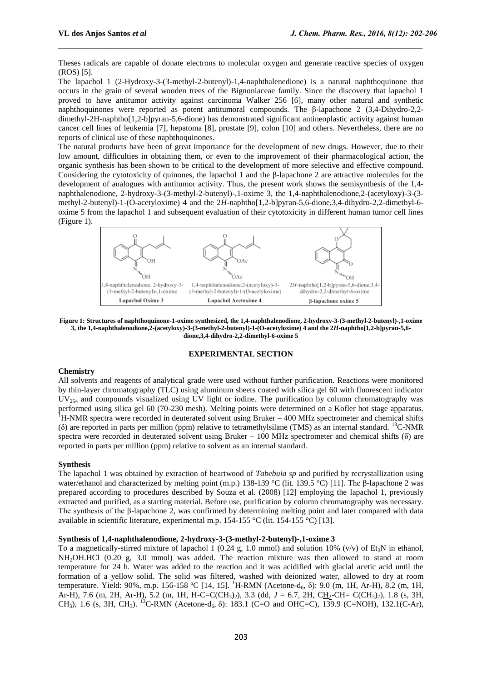Theses radicals are capable of donate electrons to molecular oxygen and generate reactive species of oxygen (ROS) [5].

 $\_$  , and the contribution of the contribution of  $\mathcal{L}_\mathcal{A}$  , and the contribution of  $\mathcal{L}_\mathcal{A}$ 

The lapachol 1 (2-Hydroxy-3-(3-methyl-2-butenyl)-1,4-naphthalenedione) is a natural naphthoquinone that occurs in the grain of several wooden trees of the Bignoniaceae family. Since the discovery that lapachol 1 proved to have antitumor activity against carcinoma Walker 256 [6], many other natural and synthetic naphthoquinones were reported as potent antitumoral compounds. The β-lapachone 2 (3,4-Dihydro-2,2 dimethyl-2H-naphtho[1,2-b]pyran-5,6-dione) has demonstrated significant antineoplastic activity against human cancer cell lines of leukemia [7], hepatoma [8], prostate [9], colon [10] and others. Nevertheless, there are no reports of clinical use of these naphthoquinones.

The natural products have been of great importance for the development of new drugs. However, due to their low amount, difficulties in obtaining them, or even to the improvement of their pharmacological action, the organic synthesis has been shown to be critical to the development of more selective and effective compound. Considering the cytotoxicity of quinones, the lapachol 1 and the β-lapachone 2 are attractive molecules for the development of analogues with antitumor activity. Thus, the present work shows the semisynthesis of the 1,4 naphthalenodione, 2-hydroxy-3-(3-methyl-2-butenyl)-,1-oxime 3, the 1,4-naphthalenodione,2-(acetyloxy)-3-(3 methyl-2-butenyl)-1-(O-acetyloxime) 4 and the 2*H*-naphtho[1,2-b]pyran-5,6-dione,3,4-dihydro-2,2-dimethyl-6 oxime 5 from the lapachol 1 and subsequent evaluation of their cytotoxicity in different human tumor cell lines (Figure 1).



**Figure 1: Structures of naphthoquinone-1-oxime synthesized, the 1,4-naphthalenodione, 2-hydroxy-3-(3-methyl-2-butenyl)-,1-oxime 3, the 1,4-naphthalenodione,2-(acetyloxy)-3-(3-methyl-2-butenyl)-1-(O-acetyloxime) 4 and the 2***H***-naphtho[1,2-b]pyran-5,6 dione,3,4-dihydro-2,2-dimethyl-6-oxime 5**

#### **EXPERIMENTAL SECTION**

## **Chemistry**

All solvents and reagents of analytical grade were used without further purification. Reactions were monitored by thin-layer chromatography (TLC) using aluminum sheets coated with silica gel 60 with fluorescent indicator  $UV_{254}$  and compounds visualized using UV light or iodine. The purification by column chromatography was performed using silica gel 60 (70-230 mesh). Melting points were determined on a Kofler hot stage apparatus.  $1_H$ -NMR spectra were recorded in deuterated solvent using Bruker  $-400$  MHz spectrometer and chemical shifts (δ) are reported in parts per million (ppm) relative to tetramethylsilane (TMS) as an internal standard. <sup>13</sup>C-NMR spectra were recorded in deuterated solvent using Bruker – 100 MHz spectrometer and chemical shifts ( $\delta$ ) are reported in parts per million (ppm) relative to solvent as an internal standard.

## **Synthesis**

The lapachol 1 was obtained by extraction of heartwood of *Tabebuia sp* and purified by recrystallization using water/ethanol and characterized by melting point (m.p.) 138-139 °C (lit. 139.5 °C) [11]. The β-lapachone 2 was prepared according to procedures described by Souza et al. (2008) [12] employing the lapachol 1, previously extracted and purified, as a starting material. Before use, purification by column chromatography was necessary. The synthesis of the β-lapachone 2, was confirmed by determining melting point and later compared with data available in scientific literature, experimental m.p. 154-155 °C (lit. 154-155 °C) [13].

## **Synthesis of 1,4-naphthalenodione, 2-hydroxy-3-(3-methyl-2-butenyl)-,1-oxime 3**

To a magnetically-stirred mixture of lapachol 1 (0.24 g, 1.0 mmol) and solution 10% (v/v) of Et<sub>3</sub>N in ethanol, NH<sub>2</sub>OH.HCl (0.20 g, 3.0 mmol) was added. The reaction mixture was then allowed to stand at room temperature for 24 h. Water was added to the reaction and it was acidified with glacial acetic acid until the formation of a yellow solid. The solid was filtered, washed with deionized water, allowed to dry at room temperature. Yield: 90%, m.p. 156-158 °C [14, 15]. <sup>1</sup>H-RMN (Acetone-d<sub>6</sub>, δ): 9.0 (m, 1H, Ar-H), 8.2 (m, 1H, Ar-H), 7.6 (m, 2H, Ar-H), 5.2 (m, 1H, H-C=C(CH<sub>3</sub>)<sub>2</sub>), 3.3 (dd, *J* = 6.7, 2H, C<u>H</u><sub>2</sub>-CH= C(CH<sub>3</sub>)<sub>2</sub>), 1.8 (s, 3H, CH<sub>3</sub>), 1.6 (s, 3H, CH<sub>3</sub>). <sup>13</sup>C-RMN (Acetone-d<sub>6</sub>,  $\delta$ ): 183.1 (C=O and OHC=C), 139.9 (C=NOH), 132.1(C-Ar),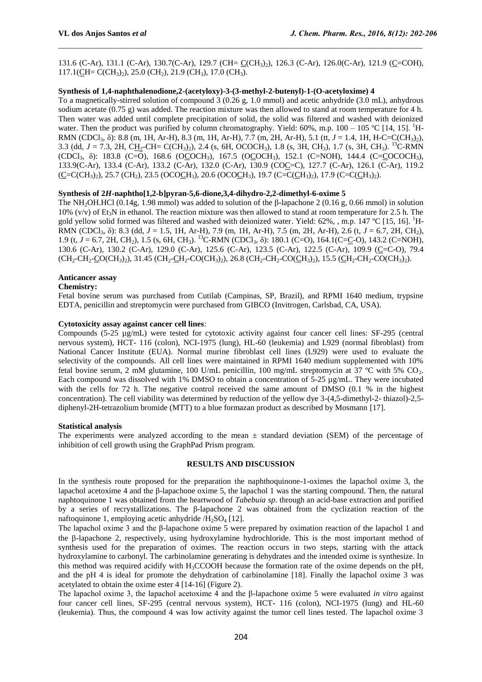131.6 (C-Ar), 131.1 (C-Ar), 130.7(C-Ar), 129.7 (CH=  $C(CH_3)_2$ ), 126.3 (C-Ar), 126.0(C-Ar), 121.9 (C=COH),  $117.1$ (CH= C(CH<sub>3</sub>)<sub>2</sub>), 25.0 (CH<sub>2</sub>), 21.9 (CH<sub>3</sub>), 17.0 (CH<sub>3</sub>).

 $\_$  , and the contribution of the contribution of  $\mathcal{L}_\mathcal{A}$  , and the contribution of  $\mathcal{L}_\mathcal{A}$ 

## **Synthesis of 1,4-naphthalenodione,2-(acetyloxy)-3-(3-methyl-2-butenyl)-1-(O-acetyloxime) 4**

To a magnetically-stirred solution of compound 3 (0.26 g, 1.0 mmol) and acetic anhydride (3.0 mL), anhydrous sodium acetate (0.75 g) was added. The reaction mixture was then allowed to stand at room temperature for 4 h. Then water was added until complete precipitation of solid, the solid was filtered and washed with deionized water. Then the product was purified by column chromatography. Yield:  $60\%$ , m.p.  $100 - 105$  °C [14, 15]. <sup>1</sup>H-RMN (CDCl<sub>3</sub>, δ): 8.8 (m, 1H, Ar-H), 8.3 (m, 1H, Ar-H), 7.7 (m, 2H, Ar-H), 5.1 (tt, *J* = 1.4, 1H, H-C=C(CH<sub>3</sub>)<sub>2</sub>), 3.3 (dd,  $J = 7.3$ , 2H, CH<sub>2</sub>-CH= C(CH<sub>3</sub>)<sub>2</sub>), 2.4 (s, 6H, OCOCH<sub>3</sub>), 1.8 (s, 3H, CH<sub>3</sub>), 1.7 (s, 3H, CH<sub>3</sub>). <sup>13</sup>C-RMN (CDCl<sub>3</sub>,  $\delta$ ): 183.8 (C=O), 168.6 (OCOCH<sub>3</sub>), 167.5 (OCOCH<sub>3</sub>), 152.1 (C=NOH), 144.4 (C=COCOCH<sub>3</sub>), 133.9(C-Ar), 133.4 (C-Ar), 133.2 (C-Ar), 132.0 (C-Ar), 130.9 (COC=C), 127.7 (C-Ar), 126.1 (C-Ar), 119.2  $(C=C(CH_3)$ , 25.7 (CH<sub>2</sub>), 23.5 (OCOCH<sub>3</sub>), 20.6 (OCOCH<sub>3</sub>), 19.7 (C=C(CH<sub>3</sub>)<sub>2</sub>), 17.9 (C=C(CH<sub>3</sub>)<sub>2</sub>).

## **Synthesis of 2***H***-naphtho[1,2-b]pyran-5,6-dione,3,4-dihydro-2,2-dimethyl-6-oxime 5**

The NH2OH.HCl (0.14g, 1.98 mmol) was added to solution of the β-lapachone 2 (0.16 g, 0.66 mmol) in solution 10% (v/v) of Et<sub>3</sub>N in ethanol. The reaction mixture was then allowed to stand at room temperature for 2.5 h. The gold yellow solid formed was filtered and washed with deionized water. Yield:  $62\%$ , , m.p.  $147 \text{ °C}$  [15, 16]. <sup>1</sup>H-RMN (CDCl3, δ): 8.3 (dd, *J* = 1.5, 1H, Ar-H), 7.9 (m, 1H, Ar-H), 7.5 (m, 2H, Ar-H), 2.6 (t, *J* = 6.7, 2H, CH2), 1.9 (t, *J* = 6.7, 2H, CH<sub>2</sub>), 1.5 (s, 6H, CH<sub>3</sub>). <sup>13</sup>C-RMN (CDCl<sub>3</sub>, δ): 180.1 (C=O), 164.1(C=<u>C</u>-O), 143.2 (C=NOH), 130.6 (C-Ar), 130.2 (C-Ar), 129.0 (C-Ar), 125.6 (C-Ar), 123.5 (C-Ar), 122.5 (C-Ar), 109.9 (C=C-O), 79.4  $(CH_2-CH_2-CO(CH_3)_2)$ , 31.45  $(CH_2-CH_2-CO(CH_3)_2)$ , 26.8  $(CH_2-CH_2-CO(CH_3)_2)$ , 15.5  $(CH_2-CH_2-CO(CH_3)_2)$ .

#### **Anticancer assay**

## **Chemistry:**

Fetal bovine serum was purchased from Cutilab (Campinas, SP, Brazil), and RPMI 1640 medium, trypsine EDTA, penicillin and streptomycin were purchased from GIBCO (Invitrogen, Carlsbad, CA, USA).

## **Cytotoxicity assay against cancer cell lines**:

Compounds (5-25 µg/mL) were tested for cytotoxic activity against four cancer cell lines: SF-295 (central nervous system), HCT- 116 (colon), NCI-1975 (lung), HL-60 (leukemia) and L929 (normal fibroblast) from National Cancer Institute (EUA). Normal murine fibroblast cell lines (L929) were used to evaluate the selectivity of the compounds. All cell lines were maintained in RPMI 1640 medium supplemented with 10% fetal bovine serum, 2 mM glutamine, 100 U/mL penicillin, 100 mg/mL streptomycin at  $37 \text{ °C}$  with 5% CO<sub>2</sub>. Each compound was dissolved with 1% DMSO to obtain a concentration of 5-25 µg/mL. They were incubated with the cells for 72 h. The negative control received the same amount of DMSO (0.1 % in the highest concentration). The cell viability was determined by reduction of the yellow dye 3-(4,5-dimethyl-2- thiazol)-2,5 diphenyl-2H-tetrazolium bromide (MTT) to a blue formazan product as described by Mosmann [17].

#### **Statistical analysis**

The experiments were analyzed according to the mean  $\pm$  standard deviation (SEM) of the percentage of inhibition of cell growth using the GraphPad Prism program.

## **RESULTS AND DISCUSSION**

In the synthesis route proposed for the preparation the naphthoquinone-1-oximes the lapachol oxime 3, the lapachol acetoxime 4 and the β-lapachone oxime 5, the lapachol 1 was the starting compound. Then, the natural naphtoquinone 1 was obtained from the heartwood of *Tabebuia sp.* through an acid-base extraction and purified by a series of recrystallizations. The β-lapachone 2 was obtained from the cyclization reaction of the naftoquinone 1, employing acetic anhydride  $/H_2SO_4$  [12].

The lapachol oxime 3 and the β-lapachone oxime 5 were prepared by oximation reaction of the lapachol 1 and the  $\beta$ -lapachone 2, respectively, using hydroxylamine hydrochloride. This is the most important method of synthesis used for the preparation of oximes. The reaction occurs in two steps, starting with the attack hydroxylamine to carbonyl. The carbinolamine generating is dehydrates and the intended oxime is synthesize. In this method was required acidify with  $H_3CCOOH$  because the formation rate of the oxime depends on the pH, and the pH 4 is ideal for promote the dehydration of carbinolamine [18]. Finally the lapachol oxime 3 was acetylated to obtain the oxime ester 4 [14-16] (Figure 2).

The lapachol oxime 3, the lapachol acetoxime 4 and the β-lapachone oxime 5 were evaluated *in vitro* against four cancer cell lines, SF-295 (central nervous system), HCT- 116 (colon), NCI-1975 (lung) and HL-60 (leukemia). Thus, the compound 4 was low activity against the tumor cell lines tested. The lapachol oxime 3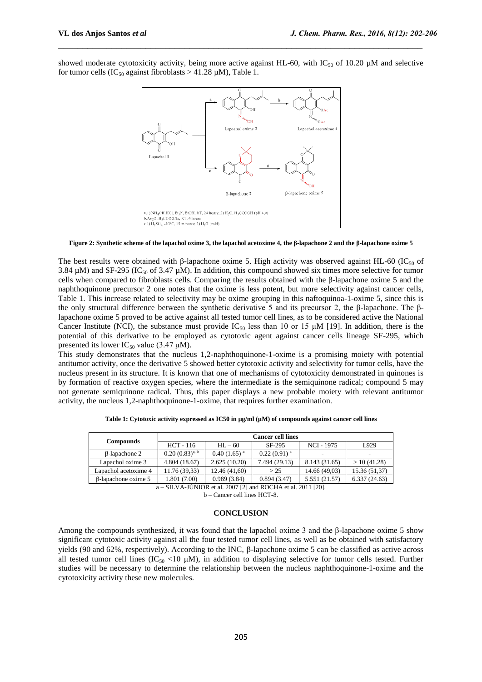showed moderate cytotoxicity activity, being more active against HL-60, with  $IC_{50}$  of 10.20  $\mu$ M and selective for tumor cells (IC<sub>50</sub> against fibroblasts  $> 41.28 \mu M$ ), Table 1.

 $\_$  , and the contribution of the contribution of  $\mathcal{L}_\mathcal{A}$  , and the contribution of  $\mathcal{L}_\mathcal{A}$ 



**Figure 2: Synthetic scheme of the lapachol oxime 3, the lapachol acetoxime 4, the β-lapachone 2 and the β-lapachone oxime 5**

The best results were obtained with β-lapachone oxime 5. High activity was observed against HL-60 (IC<sub>50</sub> of 3.84  $\mu$ M) and SF-295 (IC<sub>50</sub> of 3.47  $\mu$ M). In addition, this compound showed six times more selective for tumor cells when compared to fibroblasts cells. Comparing the results obtained with the  $\beta$ -lapachone oxime 5 and the naphthoquinone precursor 2 one notes that the oxime is less potent, but more selectivity against cancer cells, Table 1. This increase related to selectivity may be oxime grouping in this naftoquinoa-1-oxime 5, since this is the only structural difference between the synthetic derivative 5 and its precursor 2, the β-lapachone. The βlapachone oxime 5 proved to be active against all tested tumor cell lines, as to be considered active the National Cancer Institute (NCI), the substance must provide IC<sub>50</sub> less than 10 or 15  $\mu$ M [19]. In addition, there is the potential of this derivative to be employed as cytotoxic agent against cancer cells lineage SF-295, which presented its lower  $IC_{50}$  value (3.47 μM).

This study demonstrates that the nucleus 1,2-naphthoquinone-1-oxime is a promising moiety with potential antitumor activity, once the derivative 5 showed better cytotoxic activity and selectivity for tumor cells, have the nucleus present in its structure. It is known that one of mechanisms of cytotoxicity demonstrated in quinones is by formation of reactive oxygen species, where the intermediate is the semiquinone radical; compound 5 may not generate semiquinone radical. Thus, this paper displays a new probable moiety with relevant antitumor activity, the nucleus 1,2-naphthoquinone-1-oxime, that requires further examination.

| <b>Compounds</b>                                                                | <b>Cancer cell lines</b> |                  |                  |               |               |
|---------------------------------------------------------------------------------|--------------------------|------------------|------------------|---------------|---------------|
|                                                                                 | HCT - 116                | $HL - 60$        | SF-295           | NCI - 1975    | L929          |
| <b>B-lapachone 2</b>                                                            | $(0.20(0.83)^{a, b})$    | $0.40(1.65)^{a}$ | $0.22(0.91)^{a}$ | -             |               |
| Lapachol oxime 3                                                                | 4.804 (18.67)            | 2.625(10.20)     | 7.494 (29.13)    | 8.143 (31.65) | >10(41.28)    |
| Lapachol acetoxime 4                                                            | 11.76 (39.33)            | 12.46(41,60)     | > 25             | 14.66 (49.03) | 15.36 (51,37) |
| B-lapachone oxime 5                                                             | 1.801 (7.00)             | 0.989(3.84)      | 0.894(3.47)      | 5.551 (21.57) | 6.337(24.63)  |
| ATI IIL TITI TI<br>$\cdot$ 1.000 $\tau$ $\sim$ $\tau$<br>$1.500111 + 1.0011501$ |                          |                  |                  |               |               |

**Table 1: Cytotoxic activity expressed as IC50 in µg/ml (µM) of compounds against cancer cell lines**

 $-$  SILVA-JÚNIOR et al. 2007 [2] and ROCHA et al. 2011 [20].

b – Cancer cell lines HCT-8.

## **CONCLUSION**

Among the compounds synthesized, it was found that the lapachol oxime 3 and the β-lapachone oxime 5 show significant cytotoxic activity against all the four tested tumor cell lines, as well as be obtained with satisfactory yields (90 and 62%, respectively). According to the INC,  $\beta$ -lapachone oxime 5 can be classified as active across all tested tumor cell lines (IC<sub>50</sub> <10  $\mu$ M), in addition to displaying selective for tumor cells tested. Further studies will be necessary to determine the relationship between the nucleus naphthoquinone-1-oxime and the cytotoxicity activity these new molecules.